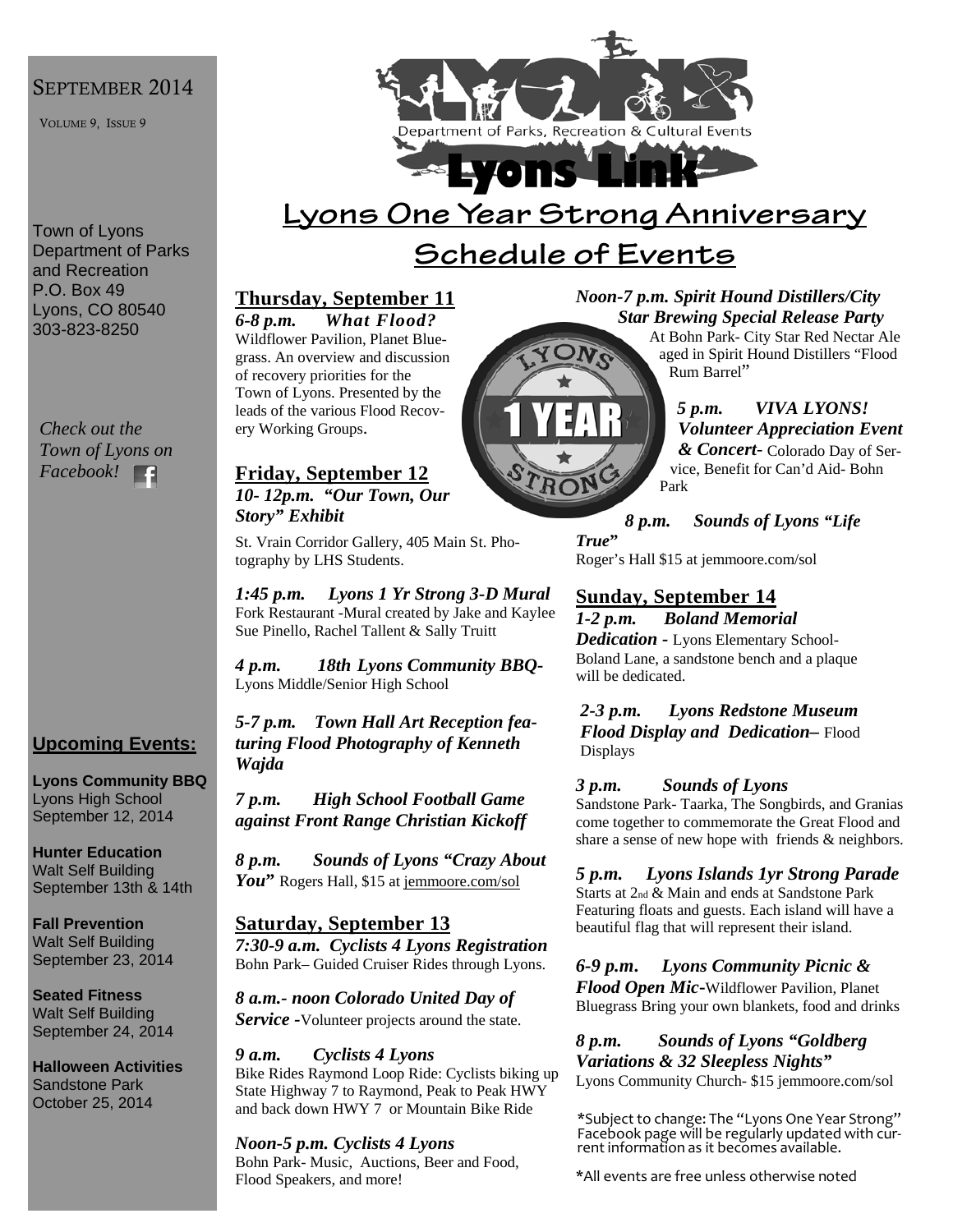#### SEPTEMBER 2014

VOLUME 9, ISSUE 9

Town of Lyons Department of Parks and Recreation P.O. Box 49 Lyons, CO 80540 303-823-8250

*Check out the Town of Lyons on Facebook!*  E

### **Upcoming Events:**

**Lyons Community BBQ**  Lyons High School September 12, 2014

**Hunter Education**  Walt Self Building September 13th & 14th

**Fall Prevention**  Walt Self Building September 23, 2014

**Seated Fitness**  Walt Self Building September 24, 2014

**Halloween Activities**  Sandstone Park October 25, 2014



# **Lyons One Year Strong Anniversary Schedule of Events**

## **Thursday, September 11**

*6-8 p.m. What Flood?* Wildflower Pavilion, Planet Bluegrass. An overview and discussion of recovery priorities for the Town of Lyons. Presented by the leads of the various Flood Recovery Working Groups.

#### **Friday, September 12** *10- 12p.m. "Our Town, Our Story" Exhibit*

St. Vrain Corridor Gallery, 405 Main St. Photography by LHS Students.

*1:45 p.m. Lyons 1 Yr Strong 3-D Mural*  Fork Restaurant -Mural created by Jake and Kaylee Sue Pinello, Rachel Tallent & Sally Truitt

*4 p.m. 18th Lyons Community BBQ-*Lyons Middle/Senior High School

*5-7 p.m. Town Hall Art Reception featuring Flood Photography of Kenneth Wajda*

*7 p.m. High School Football Game against Front Range Christian Kickoff*

*8 p.m. Sounds of Lyons "Crazy About*  You<sup>"</sup> Rogers Hall, \$15 at jemmoore.com/sol

#### **Saturday, September 13** *7:30-9 a.m. Cyclists 4 Lyons Registration* Bohn Park– Guided Cruiser Rides through Lyons.

*8 a.m.- noon Colorado United Day of Service -*Volunteer projects around the state.

*9 a.m. Cyclists 4 Lyons*  Bike Rides Raymond Loop Ride: Cyclists biking up State Highway 7 to Raymond, Peak to Peak HWY and back down HWY 7 or Mountain Bike Ride

#### *Noon-5 p.m. Cyclists 4 Lyons*  Bohn Park- Music, Auctions, Beer and Food, Flood Speakers, and more!

### *Noon-7 p.m. Spirit Hound Distillers/City Star Brewing Special Release Party*

At Bohn Park- City Star Red Nectar Ale aged in Spirit Hound Distillers "Flood Rum Barrel"

### *5 p.m. VIVA LYONS! Volunteer Appreciation Event*

*& Concert-* Colorado Day of Service, Benefit for Can'd Aid- Bohn Park

*8 p.m. Sounds of Lyons "Life* 

*True***"**  Roger's Hall \$15 at jemmoore.com/sol

## **Sunday, September 14**

*1-2 p.m. Boland Memorial Dedication -* Lyons Elementary School-Boland Lane, a sandstone bench and a plaque will be dedicated.

*2-3 p.m. Lyons Redstone Museum Flood Display and Dedication–* Flood Displays

#### *3 p.m. Sounds of Lyons*

Sandstone Park- Taarka, The Songbirds, and Granias come together to commemorate the Great Flood and share a sense of new hope with friends & neighbors.

*5 p.m. Lyons Islands 1yr Strong Parade*  Starts at 2nd & Main and ends at Sandstone Park Featuring floats and guests. Each island will have a beautiful flag that will represent their island.

*6-9 p.m***.** *Lyons Community Picnic & Flood Open Mic***-**Wildflower Pavilion, Planet Bluegrass Bring your own blankets, food and drinks

*8 p.m. Sounds of Lyons "Goldberg Variations & 32 Sleepless Nights"*  Lyons Community Church- \$15 jemmoore.com/sol

\*Subject to change: The "Lyons One Year Strong" Facebook page will be regularly updated with cur‐ rent information as it becomes available.

\*All events are free unless otherwise noted